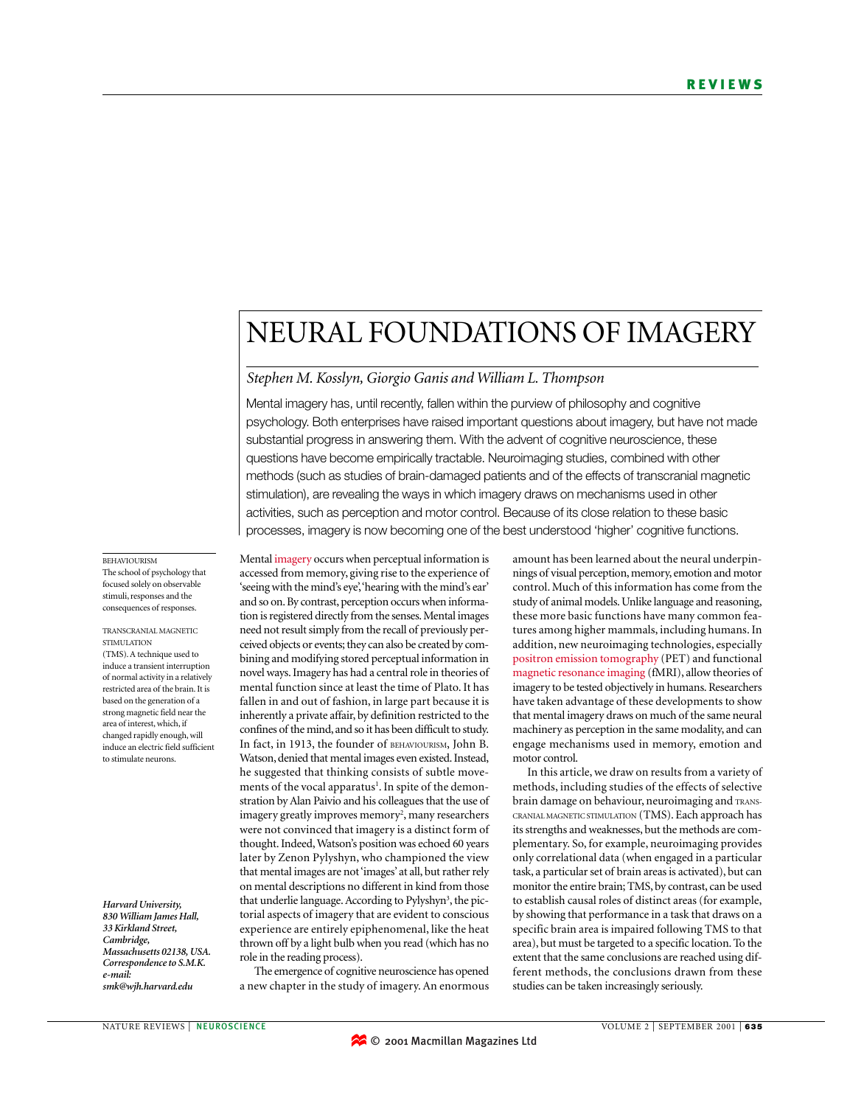# NEURAL FOUNDATIONS OF IMAGERY

# *Stephen M. Kosslyn, Giorgio Ganis and William L. Thompson*

Mental imagery has, until recently, fallen within the purview of philosophy and cognitive psychology. Both enterprises have raised important questions about imagery, but have not made substantial progress in answering them. With the advent of cognitive neuroscience, these questions have become empirically tractable. Neuroimaging studies, combined with other methods (such as studies of brain-damaged patients and of the effects of transcranial magnetic stimulation), are revealing the ways in which imagery draws on mechanisms used in other activities, such as perception and motor control. Because of its close relation to these basic processes, imagery is now becoming one of the best understood 'higher' cognitive functions.

#### BEHAVIOURISM

The school of psychology that focused solely on observable stimuli, responses and the consequences of responses.

TRANSCRANIAL MAGNETIC STIMULATION (TMS). A technique used to induce a transient interruption of normal activity in a relatively restricted area of the brain. It is based on the generation of a strong magnetic field near the area of interest, which, if changed rapidly enough, will induce an electric field sufficient to stimulate neurons.

*Harvard University, 830 William James Hall, 33 Kirkland Street, Cambridge, Massachusetts 02138, USA. Correspondence to S.M.K. e-mail: smk@wjh.harvard.edu*

Mental imagery occurs when perceptual information is accessed from memory, giving rise to the experience of 'seeing with the mind's eye','hearing with the mind's ear' and so on. By contrast, perception occurs when information is registered directly from the senses. Mental images need not result simply from the recall of previously perceived objects or events; they can also be created by combining and modifying stored perceptual information in novel ways. Imagery has had a central role in theories of mental function since at least the time of Plato. It has fallen in and out of fashion, in large part because it is inherently a private affair, by definition restricted to the confines of the mind, and so it has been difficult to study. In fact, in 1913, the founder of BEHAVIOURISM, John B. Watson, denied that mental images even existed. Instead, he suggested that thinking consists of subtle movements of the vocal apparatus<sup>1</sup>. In spite of the demonstration by Alan Paivio and his colleagues that the use of imagery greatly improves memory<sup>2</sup>, many researchers were not convinced that imagery is a distinct form of thought. Indeed, Watson's position was echoed 60 years later by Zenon Pylyshyn, who championed the view that mental images are not 'images' at all, but rather rely on mental descriptions no different in kind from those that underlie language. According to Pylyshyn<sup>3</sup>, the pictorial aspects of imagery that are evident to conscious experience are entirely epiphenomenal, like the heat thrown off by a light bulb when you read (which has no role in the reading process).

The emergence of cognitive neuroscience has opened a new chapter in the study of imagery. An enormous amount has been learned about the neural underpinnings of visual perception, memory, emotion and motor control. Much of this information has come from the study of animal models. Unlike language and reasoning, these more basic functions have many common features among higher mammals, including humans. In addition, new neuroimaging technologies, especially positron emission tomography (PET) and functional magnetic resonance imaging (fMRI), allow theories of imagery to be tested objectively in humans. Researchers have taken advantage of these developments to show that mental imagery draws on much of the same neural machinery as perception in the same modality, and can engage mechanisms used in memory, emotion and motor control.

In this article, we draw on results from a variety of methods, including studies of the effects of selective brain damage on behaviour, neuroimaging and TRANS-CRANIAL MAGNETIC STIMULATION (TMS). Each approach has its strengths and weaknesses, but the methods are complementary. So, for example, neuroimaging provides only correlational data (when engaged in a particular task, a particular set of brain areas is activated), but can monitor the entire brain; TMS, by contrast, can be used to establish causal roles of distinct areas (for example, by showing that performance in a task that draws on a specific brain area is impaired following TMS to that area), but must be targeted to a specific location. To the extent that the same conclusions are reached using different methods, the conclusions drawn from these studies can be taken increasingly seriously.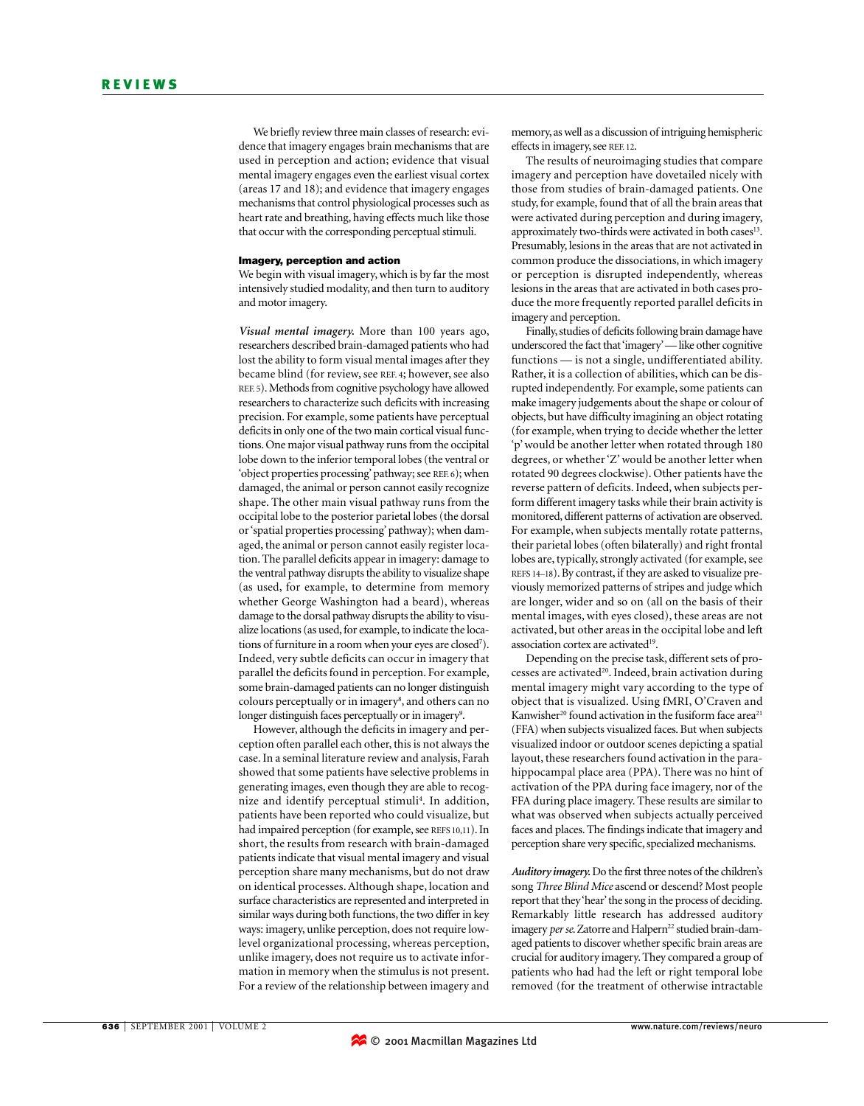We briefly review three main classes of research: evidence that imagery engages brain mechanisms that are used in perception and action; evidence that visual mental imagery engages even the earliest visual cortex (areas 17 and 18); and evidence that imagery engages mechanisms that control physiological processes such as heart rate and breathing, having effects much like those that occur with the corresponding perceptual stimuli.

# **Imagery, perception and action**

We begin with visual imagery, which is by far the most intensively studied modality, and then turn to auditory and motor imagery.

*Visual mental imagery.* More than 100 years ago, researchers described brain-damaged patients who had lost the ability to form visual mental images after they became blind (for review, see REF. 4; however, see also REF. 5). Methods from cognitive psychology have allowed researchers to characterize such deficits with increasing precision. For example, some patients have perceptual deficits in only one of the two main cortical visual functions. One major visual pathway runs from the occipital lobe down to the inferior temporal lobes (the ventral or 'object properties processing' pathway; see REF. 6); when damaged, the animal or person cannot easily recognize shape. The other main visual pathway runs from the occipital lobe to the posterior parietal lobes (the dorsal or 'spatial properties processing' pathway); when damaged, the animal or person cannot easily register location. The parallel deficits appear in imagery: damage to the ventral pathway disrupts the ability to visualize shape (as used, for example, to determine from memory whether George Washington had a beard), whereas damage to the dorsal pathway disrupts the ability to visualize locations (as used, for example, to indicate the locations of furniture in a room when your eyes are closed<sup>7</sup>). Indeed, very subtle deficits can occur in imagery that parallel the deficits found in perception. For example, some brain-damaged patients can no longer distinguish colours perceptually or in imagery<sup>8</sup>, and others can no longer distinguish faces perceptually or in imagery<sup>9</sup>.

However, although the deficits in imagery and perception often parallel each other, this is not always the case. In a seminal literature review and analysis, Farah showed that some patients have selective problems in generating images, even though they are able to recognize and identify perceptual stimuli<sup>4</sup>. In addition, patients have been reported who could visualize, but had impaired perception (for example, see REFS 10,11). In short, the results from research with brain-damaged patients indicate that visual mental imagery and visual perception share many mechanisms, but do not draw on identical processes. Although shape, location and surface characteristics are represented and interpreted in similar ways during both functions, the two differ in key ways: imagery, unlike perception, does not require lowlevel organizational processing, whereas perception, unlike imagery, does not require us to activate information in memory when the stimulus is not present. For a review of the relationship between imagery and

memory, as well as a discussion of intriguing hemispheric effects in imagery, see REF. 12.

The results of neuroimaging studies that compare imagery and perception have dovetailed nicely with those from studies of brain-damaged patients. One study, for example, found that of all the brain areas that were activated during perception and during imagery, approximately two-thirds were activated in both cases<sup>13</sup>. Presumably, lesions in the areas that are not activated in common produce the dissociations, in which imagery or perception is disrupted independently, whereas lesions in the areas that are activated in both cases produce the more frequently reported parallel deficits in imagery and perception.

Finally, studies of deficits following brain damage have underscored the fact that 'imagery'— like other cognitive functions — is not a single, undifferentiated ability. Rather, it is a collection of abilities, which can be disrupted independently. For example, some patients can make imagery judgements about the shape or colour of objects, but have difficulty imagining an object rotating (for example, when trying to decide whether the letter 'p' would be another letter when rotated through 180 degrees, or whether 'Z' would be another letter when rotated 90 degrees clockwise). Other patients have the reverse pattern of deficits. Indeed, when subjects perform different imagery tasks while their brain activity is monitored, different patterns of activation are observed. For example, when subjects mentally rotate patterns, their parietal lobes (often bilaterally) and right frontal lobes are, typically, strongly activated (for example, see REFS 14–18). By contrast, if they are asked to visualize previously memorized patterns of stripes and judge which are longer, wider and so on (all on the basis of their mental images, with eyes closed), these areas are not activated, but other areas in the occipital lobe and left association cortex are activated<sup>19</sup>.

Depending on the precise task, different sets of processes are activated<sup>20</sup>. Indeed, brain activation during mental imagery might vary according to the type of object that is visualized. Using fMRI, O'Craven and Kanwisher<sup>20</sup> found activation in the fusiform face area<sup>21</sup> (FFA) when subjects visualized faces. But when subjects visualized indoor or outdoor scenes depicting a spatial layout, these researchers found activation in the parahippocampal place area (PPA). There was no hint of activation of the PPA during face imagery, nor of the FFA during place imagery. These results are similar to what was observed when subjects actually perceived faces and places. The findings indicate that imagery and perception share very specific, specialized mechanisms.

*Auditory imagery.*Do the first three notes of the children's song *Three Blind Mice* ascend or descend? Most people report that they 'hear'the song in the process of deciding. Remarkably little research has addressed auditory imagery *per se*. Zatorre and Halpern<sup>22</sup> studied brain-damaged patients to discover whether specific brain areas are crucial for auditory imagery. They compared a group of patients who had had the left or right temporal lobe removed (for the treatment of otherwise intractable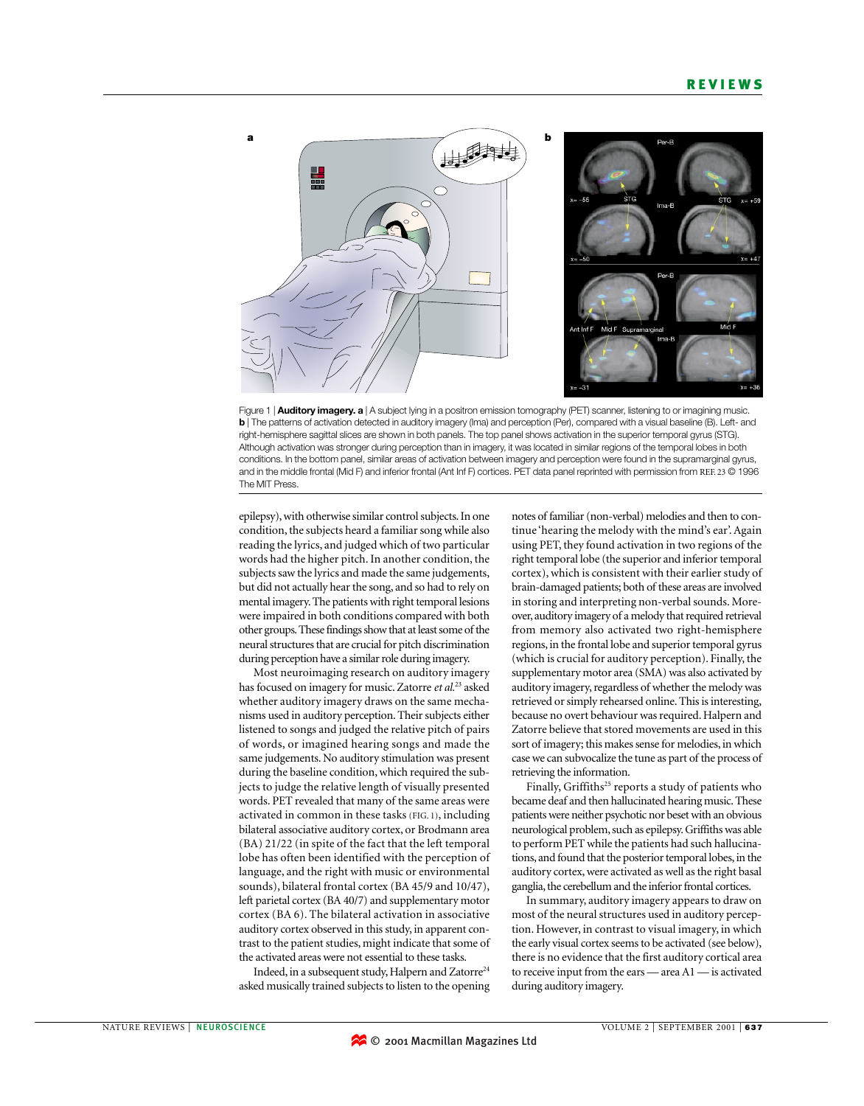



epilepsy), with otherwise similar control subjects. In one condition, the subjects heard a familiar song while also reading the lyrics, and judged which of two particular words had the higher pitch. In another condition, the subjects saw the lyrics and made the same judgements, but did not actually hear the song, and so had to rely on mental imagery. The patients with right temporal lesions were impaired in both conditions compared with both other groups.These findings show that at least some of the neural structures that are crucial for pitch discrimination during perception have a similar role during imagery.

Most neuroimaging research on auditory imagery has focused on imagery for music. Zatorre *et al.*<sup>23</sup> asked whether auditory imagery draws on the same mechanisms used in auditory perception. Their subjects either listened to songs and judged the relative pitch of pairs of words, or imagined hearing songs and made the same judgements. No auditory stimulation was present during the baseline condition, which required the subjects to judge the relative length of visually presented words. PET revealed that many of the same areas were activated in common in these tasks (FIG. 1), including bilateral associative auditory cortex, or Brodmann area (BA) 21/22 (in spite of the fact that the left temporal lobe has often been identified with the perception of language, and the right with music or environmental sounds), bilateral frontal cortex (BA 45/9 and 10/47), left parietal cortex (BA 40/7) and supplementary motor cortex (BA 6). The bilateral activation in associative auditory cortex observed in this study, in apparent contrast to the patient studies, might indicate that some of the activated areas were not essential to these tasks.

Indeed, in a subsequent study, Halpern and Zatorre<sup>24</sup> asked musically trained subjects to listen to the opening

notes of familiar (non-verbal) melodies and then to continue 'hearing the melody with the mind's ear'. Again using PET, they found activation in two regions of the right temporal lobe (the superior and inferior temporal cortex), which is consistent with their earlier study of brain-damaged patients; both of these areas are involved in storing and interpreting non-verbal sounds. Moreover, auditory imagery of a melody that required retrieval from memory also activated two right-hemisphere regions, in the frontal lobe and superior temporal gyrus (which is crucial for auditory perception). Finally, the supplementary motor area (SMA) was also activated by auditory imagery, regardless of whether the melody was retrieved or simply rehearsed online. This is interesting, because no overt behaviour was required. Halpern and Zatorre believe that stored movements are used in this sort of imagery; this makes sense for melodies, in which case we can subvocalize the tune as part of the process of retrieving the information.

Finally, Griffiths<sup>25</sup> reports a study of patients who became deaf and then hallucinated hearing music. These patients were neither psychotic nor beset with an obvious neurological problem, such as epilepsy. Griffiths was able to perform PET while the patients had such hallucinations, and found that the posterior temporal lobes, in the auditory cortex, were activated as well as the right basal ganglia, the cerebellum and the inferior frontal cortices.

In summary, auditory imagery appears to draw on most of the neural structures used in auditory perception. However, in contrast to visual imagery, in which the early visual cortex seems to be activated (see below), there is no evidence that the first auditory cortical area to receive input from the ears — area A1 — is activated during auditory imagery.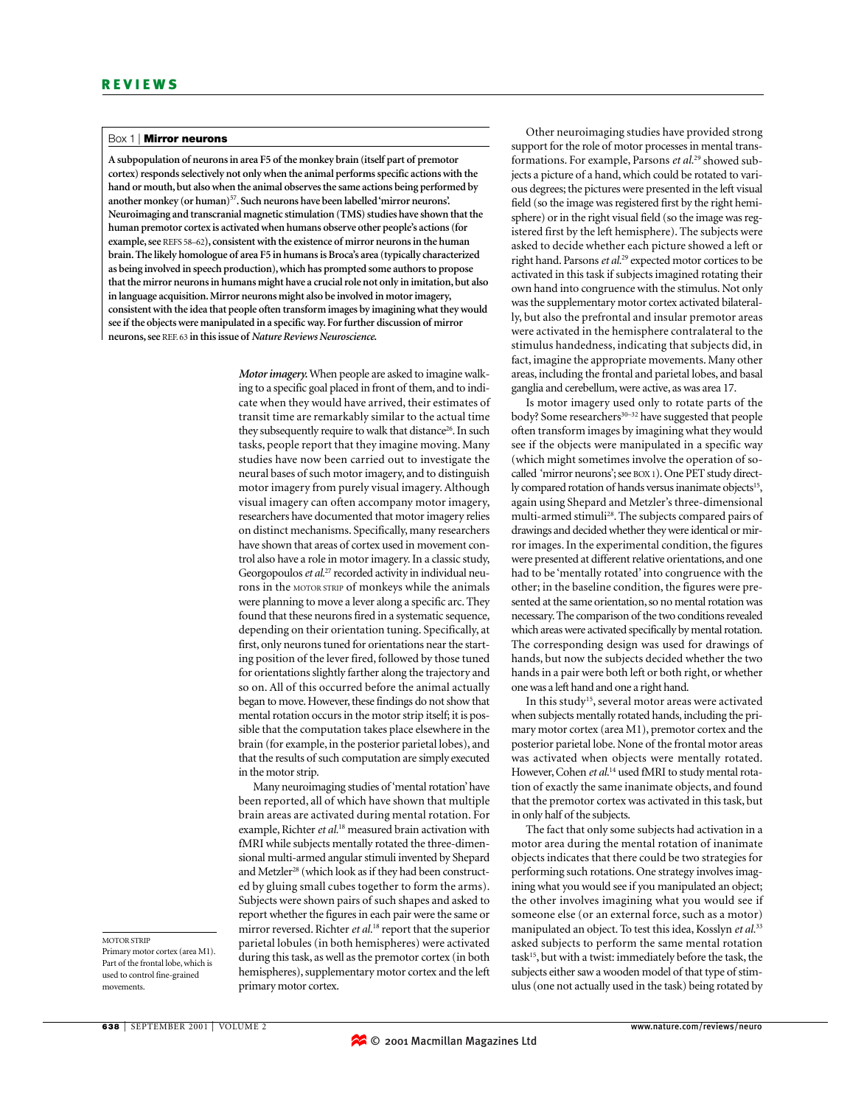# Box 1 | **Mirror neurons**

**A subpopulation of neurons in area F5 of the monkey brain (itself part of premotor cortex) responds selectively not only when the animal performs specific actions with the hand or mouth, but also when the animal observes the same actions being performed by another monkey (or human)**<sup>57</sup>**. Such neurons have been labelled 'mirror neurons'. Neuroimaging and transcranial magnetic stimulation (TMS) studies have shown that the human premotor cortex is activated when humans observe other people's actions (for example, see** REFS 58–62**), consistent with the existence of mirror neurons in the human brain. The likely homologue of area F5 in humans is Broca's area (typically characterized as being involved in speech production), which has prompted some authors to propose that the mirror neurons in humans might have a crucial role not only in imitation, but also in language acquisition. Mirror neurons might also be involved in motor imagery, consistent with the idea that people often transform images by imagining what they would see if the objects were manipulated in a specific way. For further discussion of mirror neurons, see** REF. 63 **in this issue of** *Nature Reviews Neuroscience***.**

> *Motor imagery.*When people are asked to imagine walking to a specific goal placed in front of them, and to indicate when they would have arrived, their estimates of transit time are remarkably similar to the actual time they subsequently require to walk that distance<sup>26</sup>. In such tasks, people report that they imagine moving. Many studies have now been carried out to investigate the neural bases of such motor imagery, and to distinguish motor imagery from purely visual imagery. Although visual imagery can often accompany motor imagery, researchers have documented that motor imagery relies on distinct mechanisms. Specifically, many researchers have shown that areas of cortex used in movement control also have a role in motor imagery. In a classic study, Georgopoulos et al.<sup>27</sup> recorded activity in individual neurons in the MOTOR STRIP of monkeys while the animals were planning to move a lever along a specific arc. They found that these neurons fired in a systematic sequence, depending on their orientation tuning. Specifically, at first, only neurons tuned for orientations near the starting position of the lever fired, followed by those tuned for orientations slightly farther along the trajectory and so on. All of this occurred before the animal actually began to move. However, these findings do not show that mental rotation occurs in the motor strip itself; it is possible that the computation takes place elsewhere in the brain (for example, in the posterior parietal lobes), and that the results of such computation are simply executed in the motor strip.

> Many neuroimaging studies of 'mental rotation' have been reported, all of which have shown that multiple brain areas are activated during mental rotation. For example, Richter *et al.*<sup>18</sup> measured brain activation with fMRI while subjects mentally rotated the three-dimensional multi-armed angular stimuli invented by Shepard and Metzler<sup>28</sup> (which look as if they had been constructed by gluing small cubes together to form the arms). Subjects were shown pairs of such shapes and asked to report whether the figures in each pair were the same or mirror reversed. Richter *et al.*<sup>18</sup> report that the superior parietal lobules (in both hemispheres) were activated during this task, as well as the premotor cortex (in both hemispheres), supplementary motor cortex and the left primary motor cortex.

Other neuroimaging studies have provided strong support for the role of motor processes in mental transformations. For example, Parsons *et al.*<sup>29</sup> showed subjects a picture of a hand, which could be rotated to various degrees; the pictures were presented in the left visual field (so the image was registered first by the right hemisphere) or in the right visual field (so the image was registered first by the left hemisphere). The subjects were asked to decide whether each picture showed a left or right hand. Parsons *et al.*<sup>29</sup> expected motor cortices to be activated in this task if subjects imagined rotating their own hand into congruence with the stimulus. Not only was the supplementary motor cortex activated bilaterally, but also the prefrontal and insular premotor areas were activated in the hemisphere contralateral to the stimulus handedness, indicating that subjects did, in fact, imagine the appropriate movements. Many other areas, including the frontal and parietal lobes, and basal ganglia and cerebellum, were active, as was area 17.

Is motor imagery used only to rotate parts of the body? Some researchers<sup>30–32</sup> have suggested that people often transform images by imagining what they would see if the objects were manipulated in a specific way (which might sometimes involve the operation of socalled 'mirror neurons'; see BOX 1). One PET study directly compared rotation of hands versus inanimate objects<sup>15</sup>, again using Shepard and Metzler's three-dimensional multi-armed stimuli28. The subjects compared pairs of drawings and decided whether they were identical or mirror images. In the experimental condition, the figures were presented at different relative orientations, and one had to be 'mentally rotated' into congruence with the other; in the baseline condition, the figures were presented at the same orientation, so no mental rotation was necessary. The comparison of the two conditions revealed which areas were activated specifically by mental rotation. The corresponding design was used for drawings of hands, but now the subjects decided whether the two hands in a pair were both left or both right, or whether one was a left hand and one a right hand.

In this study<sup>15</sup>, several motor areas were activated when subjects mentally rotated hands, including the primary motor cortex (area M1), premotor cortex and the posterior parietal lobe. None of the frontal motor areas was activated when objects were mentally rotated. However, Cohen et al.<sup>14</sup> used fMRI to study mental rotation of exactly the same inanimate objects, and found that the premotor cortex was activated in this task, but in only half of the subjects.

The fact that only some subjects had activation in a motor area during the mental rotation of inanimate objects indicates that there could be two strategies for performing such rotations. One strategy involves imagining what you would see if you manipulated an object; the other involves imagining what you would see if someone else (or an external force, such as a motor) manipulated an object. To test this idea, Kosslyn *et al.*<sup>33</sup> asked subjects to perform the same mental rotation task15, but with a twist: immediately before the task, the subjects either saw a wooden model of that type of stimulus (one not actually used in the task) being rotated by

MOTOR STRIP

Primary motor cortex (area M1). Part of the frontal lobe, which is used to control fine-grained movements.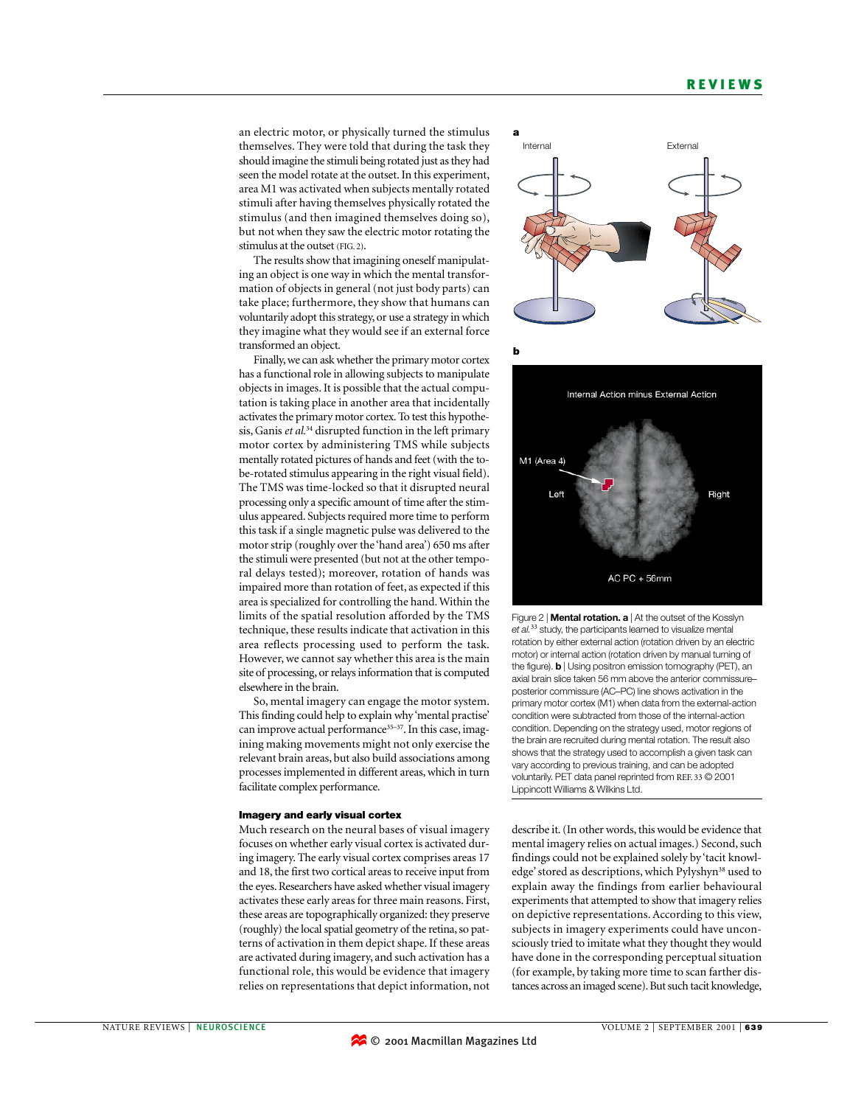an electric motor, or physically turned the stimulus themselves. They were told that during the task they should imagine the stimuli being rotated just as they had seen the model rotate at the outset. In this experiment, area M1 was activated when subjects mentally rotated stimuli after having themselves physically rotated the stimulus (and then imagined themselves doing so), but not when they saw the electric motor rotating the stimulus at the outset (FIG. 2).

The results show that imagining oneself manipulating an object is one way in which the mental transformation of objects in general (not just body parts) can take place; furthermore, they show that humans can voluntarily adopt this strategy, or use a strategy in which they imagine what they would see if an external force transformed an object.

Finally, we can ask whether the primary motor cortex has a functional role in allowing subjects to manipulate objects in images. It is possible that the actual computation is taking place in another area that incidentally activates the primary motor cortex. To test this hypothesis, Ganis *et al.*<sup>34</sup> disrupted function in the left primary motor cortex by administering TMS while subjects mentally rotated pictures of hands and feet (with the tobe-rotated stimulus appearing in the right visual field). The TMS was time-locked so that it disrupted neural processing only a specific amount of time after the stimulus appeared. Subjects required more time to perform this task if a single magnetic pulse was delivered to the motor strip (roughly over the 'hand area') 650 ms after the stimuli were presented (but not at the other temporal delays tested); moreover, rotation of hands was impaired more than rotation of feet, as expected if this area is specialized for controlling the hand. Within the limits of the spatial resolution afforded by the TMS technique, these results indicate that activation in this area reflects processing used to perform the task. However, we cannot say whether this area is the main site of processing, or relays information that is computed elsewhere in the brain.

So, mental imagery can engage the motor system. This finding could help to explain why 'mental practise' can improve actual performance<sup>35-37</sup>. In this case, imagining making movements might not only exercise the relevant brain areas, but also build associations among processes implemented in different areas, which in turn facilitate complex performance.

#### **Imagery and early visual cortex**

Much research on the neural bases of visual imagery focuses on whether early visual cortex is activated during imagery. The early visual cortex comprises areas 17 and 18, the first two cortical areas to receive input from the eyes. Researchers have asked whether visual imagery activates these early areas for three main reasons. First, these areas are topographically organized: they preserve (roughly) the local spatial geometry of the retina, so patterns of activation in them depict shape. If these areas are activated during imagery, and such activation has a functional role, this would be evidence that imagery relies on representations that depict information, not







describe it. (In other words, this would be evidence that mental imagery relies on actual images.) Second, such findings could not be explained solely by 'tacit knowledge' stored as descriptions, which Pylyshyn<sup>38</sup> used to explain away the findings from earlier behavioural experiments that attempted to show that imagery relies on depictive representations. According to this view, subjects in imagery experiments could have unconsciously tried to imitate what they thought they would have done in the corresponding perceptual situation (for example, by taking more time to scan farther distances across an imaged scene). But such tacit knowledge,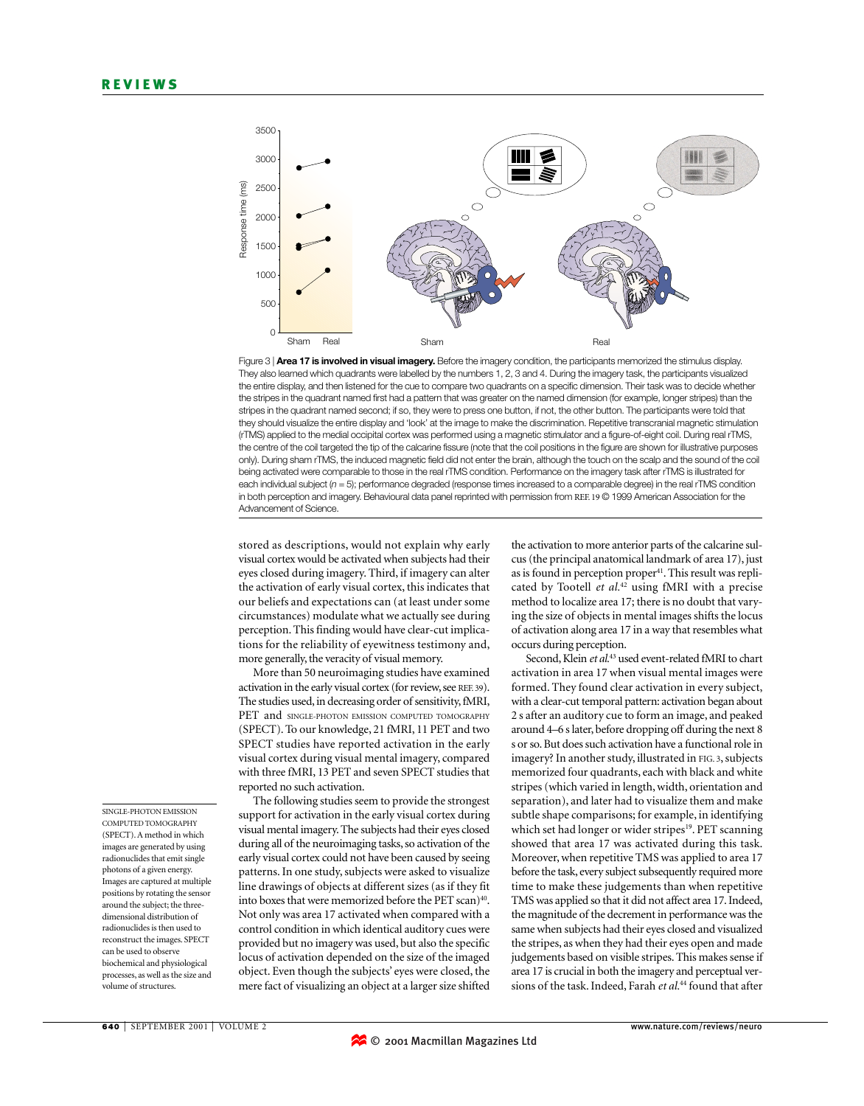

Figure 3 | **Area 17 is involved in visual imagery.** Before the imagery condition, the participants memorized the stimulus display. They also learned which quadrants were labelled by the numbers 1, 2, 3 and 4. During the imagery task, the participants visualized the entire display, and then listened for the cue to compare two quadrants on a specific dimension. Their task was to decide whether the stripes in the quadrant named first had a pattern that was greater on the named dimension (for example, longer stripes) than the stripes in the quadrant named second; if so, they were to press one button, if not, the other button. The participants were told that they should visualize the entire display and 'look' at the image to make the discrimination. Repetitive transcranial magnetic stimulation (rTMS) applied to the medial occipital cortex was performed using a magnetic stimulator and a figure-of-eight coil. During real rTMS, the centre of the coil targeted the tip of the calcarine fissure (note that the coil positions in the figure are shown for illustrative purposes only). During sham rTMS, the induced magnetic field did not enter the brain, although the touch on the scalp and the sound of the coil being activated were comparable to those in the real rTMS condition. Performance on the imagery task after rTMS is illustrated for each individual subject (*n* = 5); performance degraded (response times increased to a comparable degree) in the real rTMS condition in both perception and imagery. Behavioural data panel reprinted with permission from REF. 19 © 1999 American Association for the Advancement of Science.

stored as descriptions, would not explain why early visual cortex would be activated when subjects had their eyes closed during imagery. Third, if imagery can alter the activation of early visual cortex, this indicates that our beliefs and expectations can (at least under some circumstances) modulate what we actually see during perception. This finding would have clear-cut implications for the reliability of eyewitness testimony and, more generally, the veracity of visual memory.

More than 50 neuroimaging studies have examined activation in the early visual cortex (for review, see REF. 39). The studies used, in decreasing order of sensitivity, fMRI, PET and SINGLE-PHOTON EMISSION COMPUTED TOMOGRAPHY (SPECT). To our knowledge, 21 fMRI, 11 PET and two SPECT studies have reported activation in the early visual cortex during visual mental imagery, compared with three fMRI, 13 PET and seven SPECT studies that reported no such activation.

The following studies seem to provide the strongest support for activation in the early visual cortex during visual mental imagery. The subjects had their eyes closed during all of the neuroimaging tasks, so activation of the early visual cortex could not have been caused by seeing patterns. In one study, subjects were asked to visualize line drawings of objects at different sizes (as if they fit into boxes that were memorized before the PET scan)<sup>40</sup>. Not only was area 17 activated when compared with a control condition in which identical auditory cues were provided but no imagery was used, but also the specific locus of activation depended on the size of the imaged object. Even though the subjects' eyes were closed, the mere fact of visualizing an object at a larger size shifted

the activation to more anterior parts of the calcarine sulcus (the principal anatomical landmark of area 17), just as is found in perception proper<sup>41</sup>. This result was replicated by Tootell *et al.*<sup>42</sup> using fMRI with a precise method to localize area 17; there is no doubt that varying the size of objects in mental images shifts the locus of activation along area 17 in a way that resembles what occurs during perception.

Second, Klein *et al.*<sup>43</sup> used event-related fMRI to chart activation in area 17 when visual mental images were formed. They found clear activation in every subject, with a clear-cut temporal pattern: activation began about 2 s after an auditory cue to form an image, and peaked around 4–6 s later, before dropping off during the next 8 s or so. But does such activation have a functional role in imagery? In another study, illustrated in FIG. 3, subjects memorized four quadrants, each with black and white stripes (which varied in length, width, orientation and separation), and later had to visualize them and make subtle shape comparisons; for example, in identifying which set had longer or wider stripes<sup>19</sup>. PET scanning showed that area 17 was activated during this task. Moreover, when repetitive TMS was applied to area 17 before the task, every subject subsequently required more time to make these judgements than when repetitive TMS was applied so that it did not affect area 17. Indeed, the magnitude of the decrement in performance was the same when subjects had their eyes closed and visualized the stripes, as when they had their eyes open and made judgements based on visible stripes. This makes sense if area 17 is crucial in both the imagery and perceptual versions of the task. Indeed, Farah *et al.*<sup>44</sup> found that after

SINGLE-PHOTON EMISSION COMPUTED TOMOGRAPHY (SPECT). A method in which images are generated by using radionuclides that emit single photons of a given energy. Images are captured at multiple positions by rotating the sensor around the subject; the threedimensional distribution of radionuclides is then used to reconstruct the images. SPECT can be used to observe biochemical and physiological processes, as well as the size and volume of structures.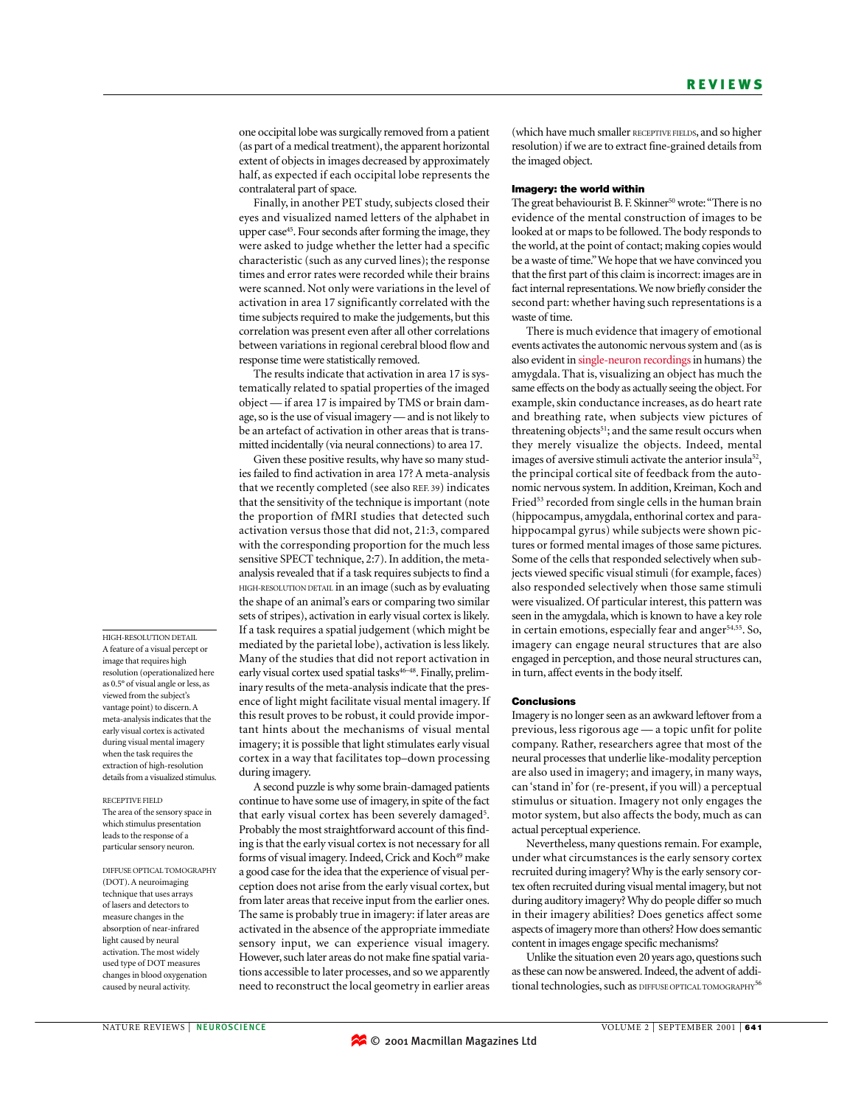one occipital lobe was surgically removed from a patient (as part of a medical treatment), the apparent horizontal extent of objects in images decreased by approximately half, as expected if each occipital lobe represents the contralateral part of space.

Finally, in another PET study, subjects closed their eyes and visualized named letters of the alphabet in upper case<sup>45</sup>. Four seconds after forming the image, they were asked to judge whether the letter had a specific characteristic (such as any curved lines); the response times and error rates were recorded while their brains were scanned. Not only were variations in the level of activation in area 17 significantly correlated with the time subjects required to make the judgements, but this correlation was present even after all other correlations between variations in regional cerebral blood flow and response time were statistically removed.

The results indicate that activation in area 17 is systematically related to spatial properties of the imaged object — if area 17 is impaired by TMS or brain damage, so is the use of visual imagery — and is not likely to be an artefact of activation in other areas that is transmitted incidentally (via neural connections) to area 17.

Given these positive results, why have so many studies failed to find activation in area 17? A meta-analysis that we recently completed (see also REF. 39) indicates that the sensitivity of the technique is important (note the proportion of fMRI studies that detected such activation versus those that did not, 21:3, compared with the corresponding proportion for the much less sensitive SPECT technique, 2:7). In addition, the metaanalysis revealed that if a task requires subjects to find a HIGH-RESOLUTION DETAIL in an image (such as by evaluating the shape of an animal's ears or comparing two similar sets of stripes), activation in early visual cortex is likely. If a task requires a spatial judgement (which might be mediated by the parietal lobe), activation is less likely. Many of the studies that did not report activation in early visual cortex used spatial tasks<sup>46-48</sup>. Finally, preliminary results of the meta-analysis indicate that the presence of light might facilitate visual mental imagery. If this result proves to be robust, it could provide important hints about the mechanisms of visual mental imagery; it is possible that light stimulates early visual cortex in a way that facilitates top–down processing during imagery.

A second puzzle is why some brain-damaged patients continue to have some use of imagery, in spite of the fact that early visual cortex has been severely damaged<sup>5</sup>. Probably the most straightforward account of this finding is that the early visual cortex is not necessary for all forms of visual imagery. Indeed, Crick and Koch<sup>49</sup> make a good case for the idea that the experience of visual perception does not arise from the early visual cortex, but from later areas that receive input from the earlier ones. The same is probably true in imagery: if later areas are activated in the absence of the appropriate immediate sensory input, we can experience visual imagery. However, such later areas do not make fine spatial variations accessible to later processes, and so we apparently need to reconstruct the local geometry in earlier areas

(which have much smaller RECEPTIVE FIELDS, and so higher resolution) if we are to extract fine-grained details from the imaged object.

# **Imagery: the world within**

The great behaviourist B. F. Skinner<sup>50</sup> wrote: "There is no evidence of the mental construction of images to be looked at or maps to be followed. The body responds to the world, at the point of contact; making copies would be a waste of time."We hope that we have convinced you that the first part of this claim is incorrect: images are in fact internal representations.We now briefly consider the second part: whether having such representations is a waste of time.

There is much evidence that imagery of emotional events activates the autonomic nervous system and (as is also evident in single-neuron recordings in humans) the amygdala. That is, visualizing an object has much the same effects on the body as actually seeing the object. For example, skin conductance increases, as do heart rate and breathing rate, when subjects view pictures of threatening objects<sup>51</sup>; and the same result occurs when they merely visualize the objects. Indeed, mental images of aversive stimuli activate the anterior insula $52$ , the principal cortical site of feedback from the autonomic nervous system. In addition, Kreiman, Koch and Fried<sup>53</sup> recorded from single cells in the human brain (hippocampus, amygdala, enthorinal cortex and parahippocampal gyrus) while subjects were shown pictures or formed mental images of those same pictures. Some of the cells that responded selectively when subjects viewed specific visual stimuli (for example, faces) also responded selectively when those same stimuli were visualized. Of particular interest, this pattern was seen in the amygdala, which is known to have a key role in certain emotions, especially fear and anger<sup>54,55</sup>. So, imagery can engage neural structures that are also engaged in perception, and those neural structures can, in turn, affect events in the body itself.

### **Conclusions**

Imagery is no longer seen as an awkward leftover from a previous, less rigorous age — a topic unfit for polite company. Rather, researchers agree that most of the neural processes that underlie like-modality perception are also used in imagery; and imagery, in many ways, can 'stand in' for (re-present, if you will) a perceptual stimulus or situation. Imagery not only engages the motor system, but also affects the body, much as can actual perceptual experience.

Nevertheless, many questions remain. For example, under what circumstances is the early sensory cortex recruited during imagery? Why is the early sensory cortex often recruited during visual mental imagery, but not during auditory imagery? Why do people differ so much in their imagery abilities? Does genetics affect some aspects of imagery more than others? How does semantic content in images engage specific mechanisms?

Unlike the situation even 20 years ago, questions such as these can now be answered. Indeed, the advent of additional technologies, such as DIFFUSE OPTICAL TOMOGRAPHY<sup>56</sup>

HIGH-RESOLUTION DETAIL A feature of a visual percept or image that requires high resolution (operationalized here as 0.5° of visual angle or less, as viewed from the subject's vantage point) to discern. A meta-analysis indicates that the early visual cortex is activated during visual mental imagery when the task requires the extraction of high-resolution details from a visualized stimulus.

# RECEPTIVE FIELD

The area of the sensory space in which stimulus presentation leads to the response of a particular sensory neuron.

DIFFUSE OPTICAL TOMOGRAPHY (DOT). A neuroimaging technique that uses arrays of lasers and detectors to measure changes in the absorption of near-infrared light caused by neural activation. The most widely used type of DOT measures changes in blood oxygenation caused by neural activity.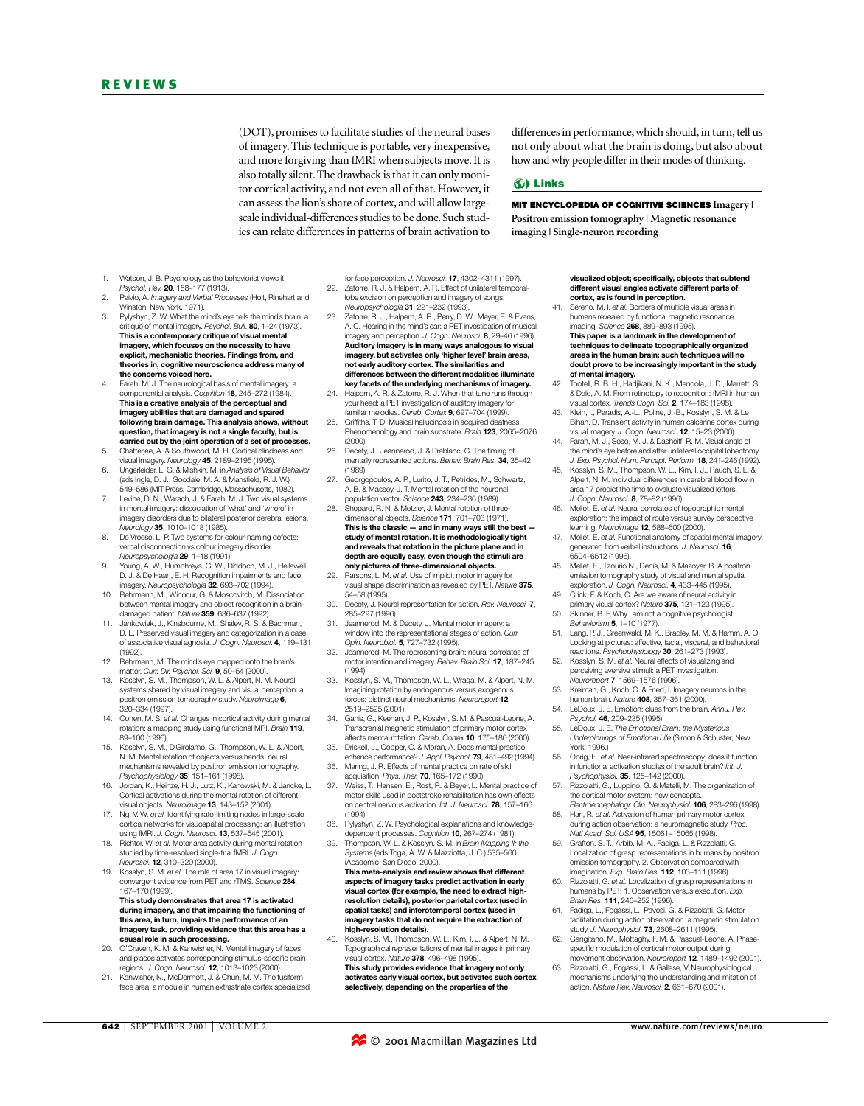(DOT), promises to facilitate studies of the neural bases of imagery. This technique is portable, very inexpensive, and more forgiving than fMRI when subjects move. It is also totally silent. The drawback is that it can only monitor cortical activity, and not even all of that. However, it can assess the lion's share of cortex, and will allow largescale individual-differences studies to be done. Such studies can relate differences in patterns of brain activation to

differences in performance, which should, in turn, tell us not only about what the brain is doing, but also about how and why people differ in their modes of thinking.

# **Links**

**MIT ENCYCLOPEDIA OF COGNITIVE SCIENCES Imagery | Positron emission tomography | Magnetic resonance imaging | Single-neuron recording**

- 1. Watson, J. B. Psychology as the behaviorist views it. *Psychol. Rev.* **20**, 158–177 (1913).
- 2. Paivio, A. *Imagery and Verbal Processes* (Holt, Rinehart and
- Winston, New York, 1971). Pylyshyn, Z. W. What the mind's eye tells the mind's brain: a
- critique of mental imagery. *Psychol. Bull*. **80**, 1–24 (1973). **This is a contemporary critique of visual mental imagery, which focuses on the necessity to have explicit, mechanistic theories. Findings from, and theories in, cognitive neuroscience address many of the concerns voiced here.**
- 4. Farah, M. J. The neurological basis of mental imagery: a componential analysis. *Cognition* **18**, 245–272 (1984). **This is a creative analysis of the perceptual and imagery abilities that are damaged and spared following brain damage. This analysis shows, without question, that imagery is not a single faculty, but is carried out by the joint operation of a set of processes.**
- 5. Chatterjee, A. & Southwood, M. H. Cortical blindness and
- visual imagery. *Neurology* **45**, 2189–2195 (1995). 6. Ungerleider, L. G. & Mishkin, M. in *Analysis of Visual Behavior* (eds Ingle, D. J., Goodale, M. A. & Mansfield, R. J. W.)
- 549–586 (MIT Press, Cambridge, Massachusetts, 1982). 7. Levine, D. N., Warach, J. & Farah, M. J. Two visual systems in mental imagery: dissociation of 'what' and 'where' in imagery disorders due to bilateral posterior cerebral lesions. *Neurology* **35**, 1010–1018 (1985).
- De Vreese, L. P. Two systems for colour-naming defects verbal disconnection vs colour imagery disorde *Neuropsychologia* **29**, 1–18 (1991).
- Young, A. W., Humphreys, G. W., Riddoch, M. J., Hellawell, D. J. & De Haan, E. H. Recognition impairments and face
- imagery. *Neuropsychologia* **32**, 693–702 (1994). 10. Behrmann, M., Winocur, G. & Moscovitch, M. Dissociation between mental imagery and object recognition in a braindamaged patient. *Nature* **359**, 636–637 (1992).
- 11. Jankowiak, J., Kinsbourne, M., Shalev, R. S. & Bachman, D. L. Preserved visual imagery and categorization in a case of associative visual agnosia. *J. Cogn. Neurosci*. **4**, 119–131 (1992).
- 12. Behrmann, M. The mind's eye mapped onto the brain's matter. *Curr. Dir. Psychol. Sci.* **9**, 50–54 (2000).
- 13. Kosslyn, S. M., Thompson, W. L. & Alpert, N. M. Neural systems shared by visual imagery and visual perception: a positron emission tomography study. *Neuroimage* **6**, .<br>320–334 (1997).
- 14. Cohen, M. S. *et al.* Changes in cortical activity during mental rotation: a mapping study using functional MRI. *Brain* **119**, 89–100 (1996).
- 15. Kosslyn, S. M., DiGirolamo, G., Thompson, W. L. & Alpert, N. M. Mental rotation of objects versus hands: neural mechanisms revealed by positron emission tomography. *Psychophysiology* **35**, 151–161 (1998).
- 16. Jordan, K., Heinze, H. J., Lutz, K., Kanowski, M. & Jancke, L. Cortical activations during the mental rotation of different visual objects. *Neuroimage* **13**, 143–152 (2001). 17. Ng, V. W. *et al.* Identifying rate-limiting nodes in large-scale
- cortical networks for visuospatial processing: an illustration using fMRI. *J. Cogn. Neurosci*. **13**, 537–545 (2001).
- 18. Richter, W. *et al.* Motor area activity during mental rotation studied by time-resolved single-trial fMRI. *J. Cogn. Neurosci.* **12**, 310–320 (2000).
- 19. Kosslyn, S. M. *et al.* The role of area 17 in visual imagery: convergent evidence from PET and rTMS. *Science* **284**, 167–170 (1999). **This study demonstrates that area 17 is activated during imagery, and that impairing the functioning of this area, in turn, impairs the performance of an imagery task, providing evidence that this area has a**
- **causal role in such processing.** 20. O'Craven, K. M. & Kanwisher, N. Mental imagery of faces and places activates corresponding stimulus-specific brain
- regions. *J. Cogn. Neurosci.* **12**, 1013–1023 (2000). 21. Kanwisher, N., McDermott, J. & Chun, M. M. The fusiform face area: a module in human extrastriate cortex specialized
- for face perception. *J. Neurosci.* **17**, 4302–4311 (1997). 22. Zatorre, R. J. & Halpern, A. R. Effect of unilateral temporallobe excision on perception and imagery of songs. *Neuropsychologia* **31**, 221–232 (1993).
- 23. Zatorre, R. J., Halpern, A. R., Perry, D. W., Meyer, E. & Evans, A. C. Hearing in the mind's ear: a PFT investigation of music imagery and perception. *J. Cogn. Neurosci.* **8**, 29–46 (1996). **Auditory imagery is in many ways analogous to visual imagery, but activates only 'higher level' brain areas, not early auditory cortex. The similarities and differences between the different modalities illuminate key facets of the underlying mechanisms of imagery.**
- 24. Halpern, A. R. & Zatorre, R. J. When that tune runs through your head: a PET investigation of auditory imagery for familiar melodies. *Cereb. Cortex* **9**, 697–704 (1999).
- 25. Griffiths, T. D. Musical hallucinosis in acquired deafness. Phenomenology and brain substrate. *Brain* **123**, 2065–2076  $(2000)$
- 26. Decety, J., Jeannerod, J. & Prablanc, C. The timing of mentally represented actions. *Behav. Brain Res.* **34**, 35–42 (1989).
- Georgopoulos, A. P., Lurito, J. T., Petrides, M., Schwartz, A. B. & Massey, J. T. Mental rotation of the neuronal population vector. *Science* **243**, 234–236 (1989).
- Shepard, R. N. & Metzler, J. Mental rotation of threedimensional objects. *Science* **171**, 701–703 (1971). **This is the classic — and in many ways still the best study of mental rotation. It is methodologically tight and reveals that rotation in the picture plane and in depth are equally easy, even though the stimuli are only pictures of three-dimensional objects.**
- 29. Parsons, L. M. *et al.* Use of implicit motor imagery for visual shape discrimination as revealed by PET. *Nature* **375**, 54–58 (1995).
- 30. Decety, J. Neural representation for action. *Rev. Neurosci.* **7**, 285–297 (1996).
- 31. Jeannerod, M. & Decety, J. Mental motor imagery: a window into the representational stages of action. *Curr. Opin. Neurobiol.* **5**, 727–732 (1995).
- 32. Jeannerod, M. The representing brain: neural correlates of motor intention and imagery. *Behav. Brain Sci.* **17**, 187–245 (1994).
- 33. Kosslyn, S. M., Thompson, W. L., Wraga, M. & Alpert, N. M. Imagining rotation by endogenous versus exogenous forces: distinct neural mechanisms. *Neuroreport* **12**, 2519–2525 (2001).
- Ganis, G., Keenan, J. P., Kosslyn, S. M. & Pascual-Leone, A. Transcranial magnetic stimulation of primary motor cortex affects mental rotation. *Cereb. Cortex* **10**, 175–180 (2000).
- 35. Driskell, J., Copper, C. & Moran, A. Does mental practice enhance performance? *J. Appl. Psychol.* **79**, 481–492 (1994).
- 36. Maring, J. R. Effects of mental practice on rate of skill acquisition. *Phys. Ther.* **70**, 165–172 (1990).
- 37. Weiss, T., Hansen, E., Rost, R. & Beyer, L. Mental practice of motor skills used in poststroke rehabilitation has own effects on central nervous activation. *Int. J. Neurosci.* **78**, 157–166 (1994).
- 38. Pylyshyn, Z. W. Psychological explanations and knowledgedependent processes. *Cognition* **10**, 267–274 (1981).
- 39. Thompson, W. L. & Kosslyn, S. M. in *Brain Mapping II: the Systems* (eds Toga, A. W. & Mazziotta, J. C.) 535–560 cademic, San Diego, 2000).

**This meta-analysis and review shows that different aspects of imagery tasks predict activation in early visual cortex (for example, the need to extract highresolution details), posterior parietal cortex (used in spatial tasks) and inferotemporal cortex (used in imagery tasks that do not require the extraction of high-resolution details).**

40. Kosslyn, S. M., Thompson, W. L., Kim, I. J. & Alpert, N. M. Topographical representations of mental images in primary visual cortex. *Nature* **378**, 496–498 (1995). **This study provides evidence that imagery not only activates early visual cortex, but activates such cortex selectively, depending on the properties of the**

**visualized object; specifically, objects that subtend different visual angles activate different parts of cortex, as is found in perception.**

- 41. Sereno, M. I. *et al.* Borders of multiple visual areas in humans revealed by functional magnetic resonance imaging. *Science* **268**, 889–893 (1995). **This paper is a landmark in the development of techniques to delineate topographically organized areas in the human brain; such techniques will no doubt prove to be increasingly important in the study**
- **of mental imagery.** 42. Tootell, R. B. H., Hadjikani, N. K., Mendola, J. D., Marrett, S. & Dale, A. M. From retinotopy to recognition: fMRI in human visual cortex. *Trends Cogn. Sci.* **2**, 174–183 (1998).
- 43. Klein, I., Paradis, A.-L., Poline, J.-B., Kosslyn, S. M. & Le Bihan, D. Transient activity in human calcarine cortex during visual imagery. *J. Cogn. Neurosci.* **12**, 15–23 (2000).
- 44. Farah, M. J., Soso, M. J. & Dasheiff, R. M. Visual angle of the mind's eye before and after unilateral occipital lobectomy*.*
- *J. Exp. Psychol. Hum. Percept. Perform.* **18**, 241–246 (1992). 45. Kosslyn, S. M., Thompson, W. L., Kim, I. J., Rauch, S. L. & Alpert, N. M. Individual differences in cerebral blood flow in area 17 predict the time to evaluate visualized letters. *J. Cogn. Neurosci.* **8**, 78–82 (1996).
- Mellet, E. et al. Neural correlates of topographic mental exploration: the impact of route versus survey perspective learning. *Neuroimage* **12**, 588–600 (2000).
- 47. Mellet, E. *et al.* Functional anatomy of spatial mental imagery generated from verbal instructions. *J. Neurosci.* **16**, 6504–6512 (1996).
- 48. Mellet, E., Tzourio N., Denis, M. & Mazoyer, B. A positron emission tomography study of visual and mental spatial exploration. *J. Cogn. Neurosci.* **4**, 433–445 (1995).
- 49. Crick, F. & Koch, C. Are we aware of neural activity in primary visual cortex? *Nature* **375**, 121–123 (1995).
- 50. Skinner, B. F. Why I am not a cognitive psychologist. *Behaviorism* **5**, 1–10 (1977).
- 51. Lang, P. J., Greenwald, M. K., Bradley, M. M. & Hamm, A. O. Looking at pictures: affective, facial, visceral, and behavioral reactions. *Psychophysiology* **30**, 261–273 (1993).
- 52. Kosslyn, S. M. *et al.* Neural effects of visualizing and perceiving aversive stimuli: a PET investigation. *Neuroreport* **7**, 1569–1576 (1996).
- 53. Kreiman, G., Koch, C. & Fried, I. Imagery neurons in the human brain. *Nature* **408**, 357–361 (2000).
- 54. LeDoux, J. E. Emotion: clues from the brain. *Annu. Rev. Psychol.* **46**, 209–235 (1995).
- 55. LeDoux, J. E. *The Emotional Brain: the Mysterious Underpinnings of Emotional Life* (Simon & Schuster, New York, 1996.)
- 56. Obrig, H. *et al.* Near-infrared spectroscopy: does it function in functional activation studies of the adult brain? *Int. J. Psychophysiol.* **35**, 125–142 (2000).
- 57. Rizzolatti, G., Luppino, G. & Matelli, M. The organization of the cortical motor system: new concept
- *Electroencephalogr. Clin. Neurophysiol.* **106**, 283–296 (1998). 58. Hari, R. *et al.* Activation of human primary motor cortex during action observation: a neuromagnetic study. *Proc.*
- *Natl Acad. Sci. USA* **95**, 15061–15065 (1998). 59. Grafton, S. T., Arbib, M. A., Fadiga, L. & Rizzolatti, G. Localization of grasp representations in humans by positron emission tomography. 2. Observation compared with
- imagination. *Exp. Brain Res*. **112**, 103–111 (1996). 60. Rizzolatti, G. *et al.* Localization of grasp representations in humans by PET: 1. Observation versus execution. *Exp. Brain Res*. **111**, 246–252 (1996).
- 61. Fadiga, L., Fogassi, L., Pavesi, G. & Rizzolatti, G. Motor facilitation during action observation: a magnetic stimulation study. *J. Neurophysiol.* **73**, 2608–2611 (1995).
- 62. Gangitano, M., Mottaghy, F. M. & Pascual-Leone, A. Phasespecific modulation of cortical motor output during
- movement observation. *Neuroreport* **12**, 1489–1492 (2001). 63. Rizzolatti, G., Fogassi, L. & Gallese, V. Neurophysiological mechanisms underlying the understanding and imitation of
	- action. *Nature Rev. Neurosci.* **2**, 661–670 (2001).